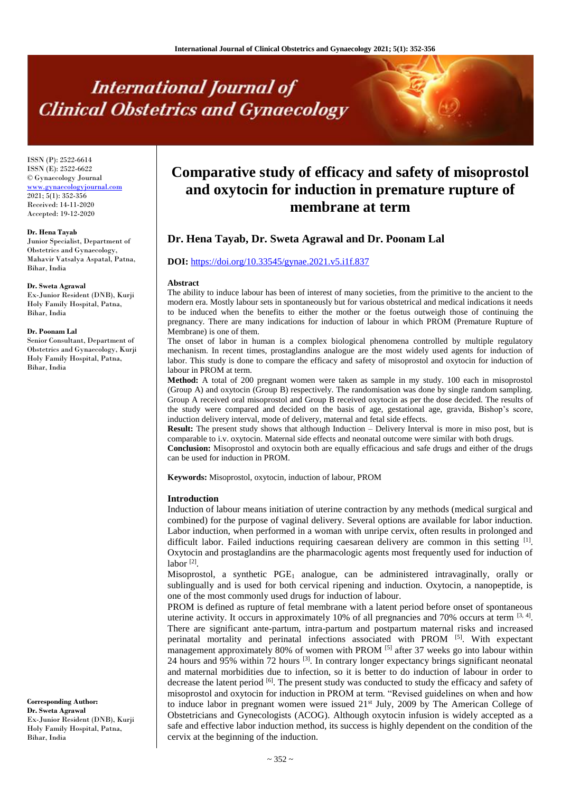# **International Journal of Clinical Obstetrics and Gynaecology**

ISSN (P): 2522-6614 ISSN (E): 2522-6622 © Gynaecology Journal [www.gynaecologyjournal.com](http://www.gynaecologyjournal.com/) 2021; 5(1): 352-356 Received: 14-11-2020 Accepted: 19-12-2020

#### **Dr. Hena Tayab**

Junior Specialist, Department of Obstetrics and Gynaecology, Mahavir Vatsalya Aspatal, Patna, Bihar, India

#### **Dr. Sweta Agrawal**

Ex-Junior Resident (DNB), Kurji Holy Family Hospital, Patna, Bihar, India

#### **Dr. Poonam Lal**

Senior Consultant, Department of Obstetrics and Gynaecology, Kurji Holy Family Hospital, Patna, Bihar, India

**Corresponding Author: Dr. Sweta Agrawal** Ex-Junior Resident (DNB), Kurji Holy Family Hospital, Patna, Bihar, India

# **Comparative study of efficacy and safety of misoprostol and oxytocin for induction in premature rupture of membrane at term**

# **Dr. Hena Tayab, Dr. Sweta Agrawal and Dr. Poonam Lal**

#### **DOI:** <https://doi.org/10.33545/gynae.2021.v5.i1f.837>

#### **Abstract**

The ability to induce labour has been of interest of many societies, from the primitive to the ancient to the modern era. Mostly labour sets in spontaneously but for various obstetrical and medical indications it needs to be induced when the benefits to either the mother or the foetus outweigh those of continuing the pregnancy. There are many indications for induction of labour in which PROM (Premature Rupture of Membrane) is one of them.

The onset of labor in human is a complex biological phenomena controlled by multiple regulatory mechanism. In recent times, prostaglandins analogue are the most widely used agents for induction of labor. This study is done to compare the efficacy and safety of misoprostol and oxytocin for induction of labour in PROM at term.

**Method:** A total of 200 pregnant women were taken as sample in my study. 100 each in misoprostol (Group A) and oxytocin (Group B) respectively. The randomisation was done by single random sampling. Group A received oral misoprostol and Group B received oxytocin as per the dose decided. The results of the study were compared and decided on the basis of age, gestational age, gravida, Bishop's score, induction delivery interval, mode of delivery, maternal and fetal side effects.

**Result:** The present study shows that although Induction – Delivery Interval is more in miso post, but is comparable to i.v. oxytocin. Maternal side effects and neonatal outcome were similar with both drugs.

**Conclusion:** Misoprostol and oxytocin both are equally efficacious and safe drugs and either of the drugs can be used for induction in PROM.

**Keywords:** Misoprostol, oxytocin, induction of labour, PROM

#### **Introduction**

Induction of labour means initiation of uterine contraction by any methods (medical surgical and combined) for the purpose of vaginal delivery. Several options are available for labor induction. Labor induction, when performed in a woman with unripe cervix, often results in prolonged and difficult labor. Failed inductions requiring caesarean delivery are common in this setting  $<sup>[1]</sup>$ .</sup> Oxytocin and prostaglandins are the pharmacologic agents most frequently used for induction of labor [2] .

Misoprostol, a synthetic PGE<sup>1</sup> analogue, can be administered intravaginally, orally or sublingually and is used for both cervical ripening and induction. Oxytocin, a nanopeptide, is one of the most commonly used drugs for induction of labour.

PROM is defined as rupture of fetal membrane with a latent period before onset of spontaneous uterine activity. It occurs in approximately 10% of all pregnancies and 70% occurs at term  $[3, 4]$ . There are significant ante-partum, intra-partum and postpartum maternal risks and increased perinatal mortality and perinatal infections associated with PROM [5]. With expectant management approximately 80% of women with PROM  $[5]$  after 37 weeks go into labour within 24 hours and 95% within 72 hours  $[3]$ . In contrary longer expectancy brings significant neonatal and maternal morbidities due to infection, so it is better to do induction of labour in order to decrease the latent period [6]. The present study was conducted to study the efficacy and safety of misoprostol and oxytocin for induction in PROM at term. "Revised guidelines on when and how to induce labor in pregnant women were issued  $21^{st}$  July, 2009 by The American College of Obstetricians and Gynecologists (ACOG). Although oxytocin infusion is widely accepted as a safe and effective labor induction method, its success is highly dependent on the condition of the cervix at the beginning of the induction.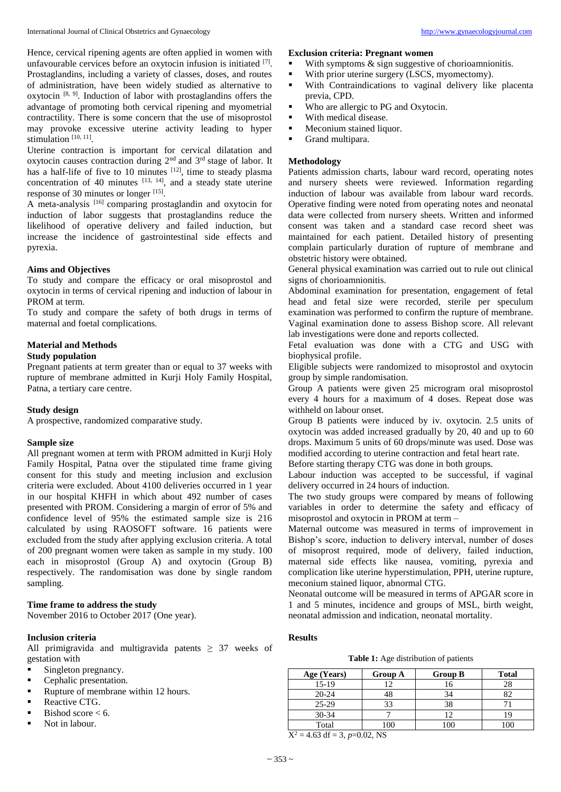Hence, cervical ripening agents are often applied in women with unfavourable cervices before an oxytocin infusion is initiated [7]. Prostaglandins, including a variety of classes, doses, and routes of administration, have been widely studied as alternative to oxytocin<sup>[8, 9]</sup>. Induction of labor with prostaglandins offers the advantage of promoting both cervical ripening and myometrial contractility. There is some concern that the use of misoprostol may provoke excessive uterine activity leading to hyper stimulation<sup>[10, 11]</sup>.

Uterine contraction is important for cervical dilatation and oxytocin causes contraction during  $2<sup>nd</sup>$  and  $3<sup>rd</sup>$  stage of labor. It has a half-life of five to 10 minutes  $[12]$ , time to steady plasma concentration of 40 minutes  $[13, 14]$ , and a steady state uterine response of 30 minutes or longer [15].

A meta-analysis <a>[16]</a> comparing prostaglandin and oxytocin for induction of labor suggests that prostaglandins reduce the likelihood of operative delivery and failed induction, but increase the incidence of gastrointestinal side effects and pyrexia.

#### **Aims and Objectives**

To study and compare the efficacy or oral misoprostol and oxytocin in terms of cervical ripening and induction of labour in PROM at term.

To study and compare the safety of both drugs in terms of maternal and foetal complications.

# **Material and Methods**

# **Study population**

Pregnant patients at term greater than or equal to 37 weeks with rupture of membrane admitted in Kurji Holy Family Hospital, Patna, a tertiary care centre.

## **Study design**

A prospective, randomized comparative study.

#### **Sample size**

All pregnant women at term with PROM admitted in Kurji Holy Family Hospital, Patna over the stipulated time frame giving consent for this study and meeting inclusion and exclusion criteria were excluded. About 4100 deliveries occurred in 1 year in our hospital KHFH in which about 492 number of cases presented with PROM. Considering a margin of error of 5% and confidence level of 95% the estimated sample size is 216 calculated by using RAOSOFT software. 16 patients were excluded from the study after applying exclusion criteria. A total of 200 pregnant women were taken as sample in my study. 100 each in misoprostol (Group A) and oxytocin (Group B) respectively. The randomisation was done by single random sampling.

### **Time frame to address the study**

November 2016 to October 2017 (One year).

## **Inclusion criteria**

All primigravida and multigravida patents  $\geq$  37 weeks of gestation with

- **Singleton pregnancy.**
- **Cephalic presentation.**
- Rupture of membrane within 12 hours.
- **Reactive CTG.**
- $\blacksquare$  Bishod score < 6.
- Not in labour.

# **Exclusion criteria: Pregnant women**

- With symptoms  $\&$  sign suggestive of chorioamnionitis.
- With prior uterine surgery (LSCS, myomectomy).
- With Contraindications to vaginal delivery like placenta previa, CPD.
- Who are allergic to PG and Oxytocin.
- **With medical disease.**
- **Meconium stained liquor.**
- Grand multipara.

#### **Methodology**

Patients admission charts, labour ward record, operating notes and nursery sheets were reviewed. Information regarding induction of labour was available from labour ward records. Operative finding were noted from operating notes and neonatal data were collected from nursery sheets. Written and informed consent was taken and a standard case record sheet was maintained for each patient. Detailed history of presenting complain particularly duration of rupture of membrane and obstetric history were obtained.

General physical examination was carried out to rule out clinical signs of chorioamnionitis.

Abdominal examination for presentation, engagement of fetal head and fetal size were recorded, sterile per speculum examination was performed to confirm the rupture of membrane. Vaginal examination done to assess Bishop score. All relevant lab investigations were done and reports collected.

Fetal evaluation was done with a CTG and USG with biophysical profile.

Eligible subjects were randomized to misoprostol and oxytocin group by simple randomisation.

Group A patients were given 25 microgram oral misoprostol every 4 hours for a maximum of 4 doses. Repeat dose was withheld on labour onset.

Group B patients were induced by iv. oxytocin. 2.5 units of oxytocin was added increased gradually by 20, 40 and up to 60 drops. Maximum 5 units of 60 drops/minute was used. Dose was modified according to uterine contraction and fetal heart rate.

Before starting therapy CTG was done in both groups.

Labour induction was accepted to be successful, if vaginal delivery occurred in 24 hours of induction.

The two study groups were compared by means of following variables in order to determine the safety and efficacy of misoprostol and oxytocin in PROM at term –

Maternal outcome was measured in terms of improvement in Bishop's score, induction to delivery interval, number of doses of misoprost required, mode of delivery, failed induction, maternal side effects like nausea, vomiting, pyrexia and complication like uterine hyperstimulation, PPH, uterine rupture, meconium stained liquor, abnormal CTG.

Neonatal outcome will be measured in terms of APGAR score in 1 and 5 minutes, incidence and groups of MSL, birth weight, neonatal admission and indication, neonatal mortality.

## **Results**

**Table 1:** Age distribution of patients

| Age (Years) | <b>Group A</b> | <b>Group B</b> | <b>Total</b> |
|-------------|----------------|----------------|--------------|
| $15-19$     |                | 16             | 28           |
| $20 - 24$   | 48             | 34             |              |
| $25-29$     | 33             | 38             |              |
| $30 - 34$   |                |                |              |
| Total       | 100            |                | 100          |

 $X^2 = 4.63$  df = 3,  $p=0.02$ , NS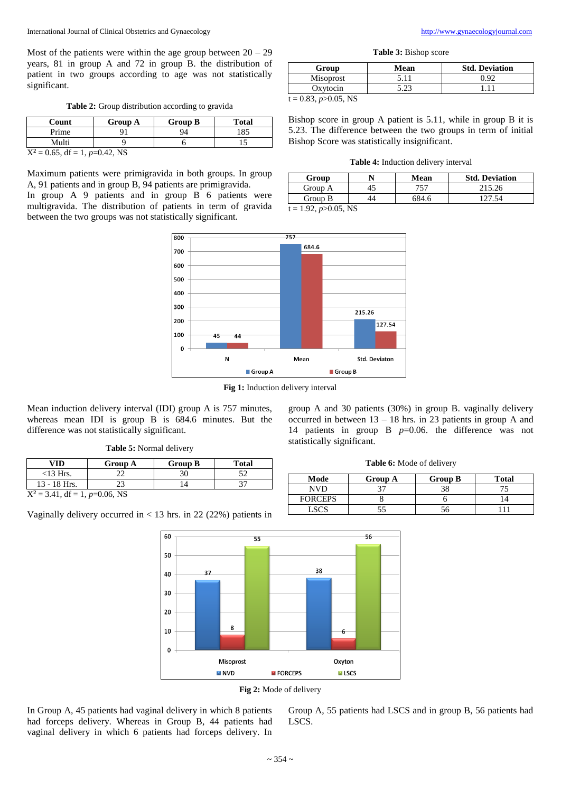Most of the patients were within the age group between  $20 - 29$ years, 81 in group A and 72 in group B. the distribution of patient in two groups according to age was not statistically significant.

**Table 2:** Group distribution according to gravida

| Count                             | <b>Group A</b> | <b>Group B</b> | <b>Total</b> |  |
|-----------------------------------|----------------|----------------|--------------|--|
| Prime                             |                | 94             | 185          |  |
| Multi                             |                |                |              |  |
| $X^2 = 0.65$ , df = 1, p=0.42, NS |                |                |              |  |

Maximum patients were primigravida in both groups. In group A, 91 patients and in group B, 94 patients are primigravida.

In group A 9 patients and in group B 6 patients were multigravida. The distribution of patients in term of gravida between the two groups was not statistically significant.



**Table 3:** Bishop score

| Group            | Mean | <b>Std. Deviation</b> |
|------------------|------|-----------------------|
| Misoprost        |      | . I QC                |
| Oxvtocin         |      |                       |
| 0.02<br>0.07.377 |      |                       |

 $t = 0.83, p > 0.05, NS$ 

Bishop score in group A patient is 5.11, while in group B it is 5.23. The difference between the two groups in term of initial Bishop Score was statistically insignificant.

**Table 4:** Induction delivery interval

| Group                 |  | Mean  | <b>Std. Deviation</b> |
|-----------------------|--|-------|-----------------------|
| Group A               |  | 757   | 215.26                |
| Group B               |  | 584.6 | 127.54                |
| $1.02 \cdot 0.05$ NTC |  |       |                       |

 $t = 1.92, p > 0.05, NS$ 

statistically significant.



**Fig 1:** Induction delivery interval

Mean induction delivery interval (IDI) group A is 757 minutes, whereas mean IDI is group B is 684.6 minutes. But the difference was not statistically significant.

|  |  | Table 5: Normal delivery |
|--|--|--------------------------|
|--|--|--------------------------|

| VID                           | <b>Group A</b> | <b>Group B</b> | <b>Total</b> |
|-------------------------------|----------------|----------------|--------------|
| $<$ 13 Hrs.                   |                |                |              |
| $13 - 18$ Hrs.                |                |                |              |
| $Y^2 - 3$ 41 df - 1 n-0.06 NS |                |                |              |

 $X^2 = 3.41$ , df = 1,  $p=0.06$ , NS

Vaginally delivery occurred in  $<$  13 hrs. in 22 (22%) patients in





In Group A, 45 patients had vaginal delivery in which 8 patients had forceps delivery. Whereas in Group B, 44 patients had vaginal delivery in which 6 patients had forceps delivery. In Group A, 55 patients had LSCS and in group B, 56 patients had LSCS.

**Table 6:** Mode of delivery

group A and 30 patients (30%) in group B. vaginally delivery occurred in between 13 – 18 hrs. in 23 patients in group A and 14 patients in group B *p*=0.06. the difference was not

| Mode           | <b>Group A</b> | <b>Group B</b> | <b>Total</b> |
|----------------|----------------|----------------|--------------|
| NVD            |                |                |              |
| <b>FORCEPS</b> |                |                |              |
|                |                |                |              |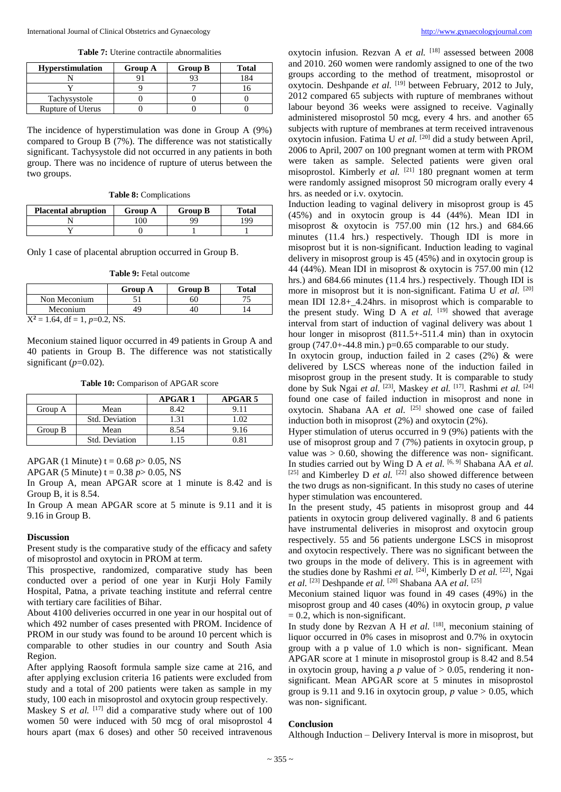**Table 7:** Uterine contractile abnormalities

| <b>Hyperstimulation</b>  | <b>Group A</b> | <b>Group B</b> | <b>Total</b> |
|--------------------------|----------------|----------------|--------------|
|                          |                |                | -84          |
|                          |                |                |              |
| Tachysystole             |                |                |              |
| <b>Rupture of Uterus</b> |                |                |              |

The incidence of hyperstimulation was done in Group A (9%) compared to Group B (7%). The difference was not statistically significant. Tachysystole did not occurred in any patients in both group. There was no incidence of rupture of uterus between the two groups.

| <b>Placental abruption</b> | <b>Group A</b> | <b>Group B</b> | <b>Total</b> |
|----------------------------|----------------|----------------|--------------|
|                            | $\alpha$       | QQ             | 199          |
|                            |                |                |              |

Only 1 case of placental abruption occurred in Group B.

**Table 9:** Fetal outcome

| <b>Group A</b> | <b>Group B</b> | <b>Total</b> |
|----------------|----------------|--------------|
|                | ы              |              |
| 49             |                |              |
|                |                |              |

 $X^2 = 1.64$ , df = 1,  $p=0.2$ , NS.

Meconium stained liquor occurred in 49 patients in Group A and 40 patients in Group B. The difference was not statistically significant  $(p=0.02)$ .

**Table 10:** Comparison of APGAR score

|         |                | <b>APGAR1</b> | APGAR 5 |
|---------|----------------|---------------|---------|
| Group A | Mean           | 8.42          |         |
|         | Std. Deviation | 1.31          |         |
| Group B | Mean           | 8.54          | 9.16    |
|         | Std. Deviation |               | ነ Ջ1    |

APGAR (1 Minute)  $t = 0.68$  *p* > 0.05, NS

APGAR (5 Minute)  $t = 0.38$  *p* > 0.05, NS

In Group A, mean APGAR score at 1 minute is 8.42 and is Group B, it is 8.54.

In Group A mean APGAR score at 5 minute is 9.11 and it is 9.16 in Group B.

#### **Discussion**

Present study is the comparative study of the efficacy and safety of misoprostol and oxytocin in PROM at term.

This prospective, randomized, comparative study has been conducted over a period of one year in Kurji Holy Family Hospital, Patna, a private teaching institute and referral centre with tertiary care facilities of Bihar.

About 4100 deliveries occurred in one year in our hospital out of which 492 number of cases presented with PROM. Incidence of PROM in our study was found to be around 10 percent which is comparable to other studies in our country and South Asia Region.

After applying Raosoft formula sample size came at 216, and after applying exclusion criteria 16 patients were excluded from study and a total of 200 patients were taken as sample in my study, 100 each in misoprostol and oxytocin group respectively.

Maskey S *et al.* <sup>[17]</sup> did a comparative study where out of 100 women 50 were induced with 50 mcg of oral misoprostol 4 hours apart (max 6 doses) and other 50 received intravenous

oxytocin infusion. Rezvan A *et al.* <sup>[18]</sup> assessed between 2008 and 2010. 260 women were randomly assigned to one of the two groups according to the method of treatment, misoprostol or oxytocin. Deshpande *et al.* [19] between February, 2012 to July, 2012 compared 65 subjects with rupture of membranes without labour beyond 36 weeks were assigned to receive. Vaginally administered misoprostol 50 mcg, every 4 hrs. and another 65 subjects with rupture of membranes at term received intravenous oxytocin infusion. Fatima U *et al.* [20] did a study between April, 2006 to April, 2007 on 100 pregnant women at term with PROM were taken as sample. Selected patients were given oral misoprostol. Kimberly *et al.* [21] 180 pregnant women at term were randomly assigned misoprost 50 microgram orally every 4 hrs. as needed or i.v. oxytocin.

Induction leading to vaginal delivery in misoprost group is 45 (45%) and in oxytocin group is 44 (44%). Mean IDI in misoprost  $\&$  oxytocin is 757.00 min (12 hrs.) and 684.66 minutes (11.4 hrs.) respectively. Though IDI is more in misoprost but it is non-significant. Induction leading to vaginal delivery in misoprost group is 45 (45%) and in oxytocin group is 44 (44%). Mean IDI in misoprost & oxytocin is 757.00 min (12 hrs.) and 684.66 minutes (11.4 hrs.) respectively. Though IDI is more in misoprost but it is non-significant. Fatima U *et al.* [20] mean IDI 12.8+\_4.24hrs. in misoprost which is comparable to the present study. Wing D A *et al.* <sup>[19]</sup> showed that average interval from start of induction of vaginal delivery was about 1 hour longer in misoprost (811.5+-511.4 min) than in oxytocin group  $(747.0 + -44.8 \text{ min.})$  p=0.65 comparable to our study.

In oxytocin group, induction failed in 2 cases (2%) & were delivered by LSCS whereas none of the induction failed in misoprost group in the present study. It is comparable to study done by Suk Ngai *et al.* [23], Maskey *et al.* [17] . Rashmi *et al.* [24] found one case of failed induction in misoprost and none in oxytocin. Shabana AA *et al.* <sup>[25]</sup> showed one case of failed induction both in misoprost (2%) and oxytocin (2%).

Hyper stimulation of uterus occurred in 9 (9%) patients with the use of misoprost group and 7 (7%) patients in oxytocin group, p value was  $> 0.60$ , showing the difference was non-significant. In studies carried out by Wing D A *et al.* [6, 9] Shabana AA *et al.*  $[25]$  and Kimberley D *et al.*  $[22]$  also showed difference between the two drugs as non-significant. In this study no cases of uterine hyper stimulation was encountered.

In the present study, 45 patients in misoprost group and 44 patients in oxytocin group delivered vaginally. 8 and 6 patients have instrumental deliveries in misoprost and oxytocin group respectively. 55 and 56 patients undergone LSCS in misoprost and oxytocin respectively. There was no significant between the two groups in the mode of delivery. This is in agreement with the studies done by Rashmi *et al.* [24], Kimberly D *et al.* [22], Ngai *et al.* [23] Deshpande *et al.* [20] Shabana AA *et al.* [25]

Meconium stained liquor was found in 49 cases (49%) in the misoprost group and 40 cases (40%) in oxytocin group, *p* value  $= 0.2$ , which is non-significant.

In study done by Rezvan A H *et al.* [18], meconium staining of liquor occurred in 0% cases in misoprost and 0.7% in oxytocin group with a p value of 1.0 which is non- significant. Mean APGAR score at 1 minute in misoprostol group is 8.42 and 8.54 in oxytocin group, having a  $p$  value of  $> 0.05$ , rendering it nonsignificant. Mean APGAR score at 5 minutes in misoprostol group is 9.11 and 9.16 in oxytocin group,  $p$  value  $> 0.05$ , which was non- significant.

#### **Conclusion**

Although Induction – Delivery Interval is more in misoprost, but